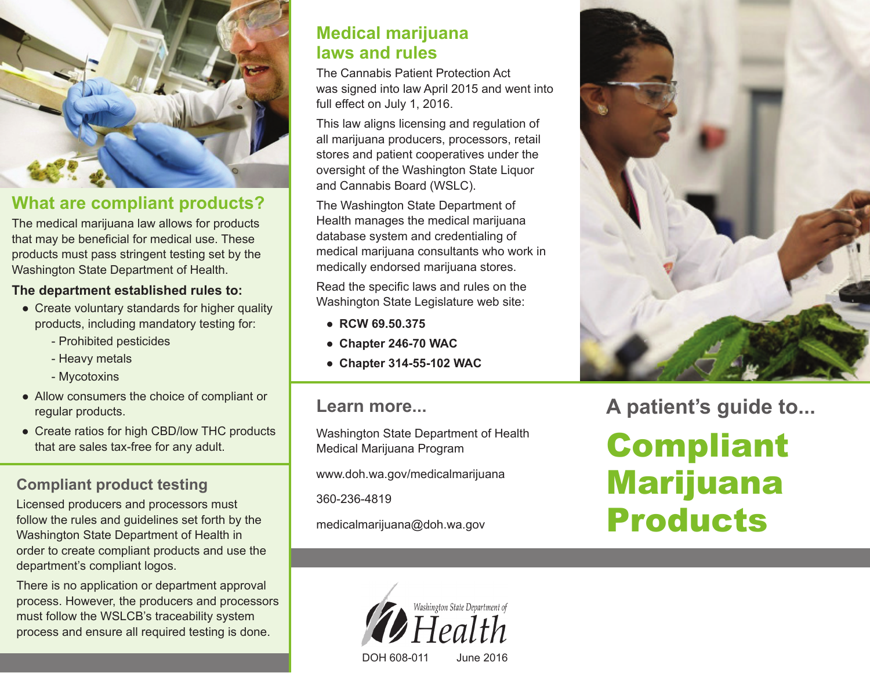

## **What are compliant products?**

The medical marijuana law allows for products that may be beneficial for medical use. These products must pass stringent testing set by the Washington State Department of Health.

#### **The department established rules to:**

- Create voluntary standards for higher quality products, including mandatory testing for:
	- Prohibited pesticides
	- Heavy metals
	- Mycotoxins
- Allow consumers the choice of compliant or regular products.
- Create ratios for high CBD/low THC products that are sales tax-free for any adult.

## **Compliant product testing**

Licensed producers and processors must follow the rules and guidelines set forth by the Washington State Department of Health in order to create compliant products and use the department's compliant logos.

There is no application or department approval process. However, the producers and processors must follow the WSLCB's traceability system process and ensure all required testing is done.

### **Medical marijuana laws and rules**

The Cannabis Patient Protection Act was signed into law April 2015 and went into full effect on July 1, 2016.

This law aligns licensing and regulation of all marijuana producers, processors, retail stores and patient cooperatives under the oversight of the Washington State Liquor and Cannabis Board (WSLC).

The Washington State Department of Health manages the medical marijuana database system and credentialing of medical marijuana consultants who work in medically endorsed marijuana stores.

Read the specific laws and rules on the Washington State Legislature web site:

- **RCW 69.50.375**
- **Chapter 246-70 WAC**
- **Chapter 314-55-102 WAC**

#### **Learn more...**

Washington State Department of Health Medical Marijuana Program

www.doh.wa.gov/medicalmarijuana

360-236-4819

medicalmarijuana@doh.wa.gov



**A patient's guide to...**

# Compliant Marijuana Products